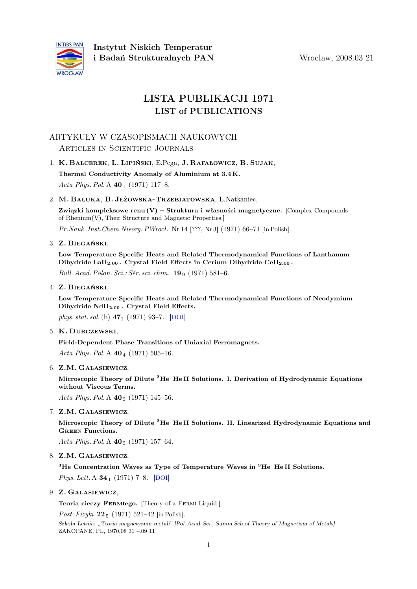

# LISTA PUBLIKACJI 1971 LIST of PUBLICATIONS

## ARTYKUŁY W CZASOPISMACH NAUKOWYCH Articles in Scientific Journals

### 1. K. Balcerek, L. Lipiński, E.Pega, J. Rafałowicz, B. Sujak,

Thermal Conductivity Anomaly of Aluminium at 3.4 K. Acta Phys. Pol. A  $40_1$  (1971) 117–8.

### 2. M. Bałuka, B. Jeżowska-Trzebiatowska, L.Natkaniec,

Związki kompleksowe renu  $(V)$  – Struktura i własności magnetyczne. [Complex Compounds of Rhenium(V), Their Structure and Magnetic Properties.]

Pr.Nauk. Inst.Chem.Nieorg. PWrocł. Nr 14 [???, Nr 3] (1971) 66–71 [in Polish].

### 3. Z. Biegański,

Low Temperature Specific Heats and Related Thermodynamical Functions of Lanthanum Dihydride LaH<sub>2.00</sub>. Crystal Field Effects in Cerium Dihydride CeH<sub>2.00</sub>.

Bull. Acad. Polon. Sci.: Sér. sci. chim.  $19_9$  (1971) 581–6.

### 4. Z. Biegański,

Low Temperature Specific Heats and Related Thermodynamical Functions of Neodymium Dihydride NdH2:<sup>00</sup> . Crystal Field Effects.

phys. stat. sol. (b)  $47_1$  (1971) 93-7. [[DOI](http://dx.doi.org/10.1002/pssb.2220470109)]

#### 5. K. Durczewski,

Field-Dependent Phase Transitions of Uniaxial Ferromagnets.

Acta Phys. Pol. A  $40_4$  (1971) 505-16.

6. Z.M. Galasiewicz,

Microscopic Theory of Dilute <sup>3</sup>He–He II Solutions. I. Derivation of Hydrodynamic Equations without Viscous Terms.

Acta Phys. Pol. A  $40_2$  (1971) 145–56.

### 7. Z.M. Galasiewicz,

Microscopic Theory of Dilute <sup>3</sup>He–He II Solutions. II. Linearized Hydrodynamic Equations and Green Functions.

Acta Phys. Pol. A  $40_2$  (1971) 157–64.

### 8. Z.M. Galasiewicz,

 ${}^{3}$ He Concentration Waves as Type of Temperature Waves in  ${}^{3}$ He–He II Solutions.

Phys. Lett. A  $34_1$  (1971) 7–8. [[DOI](http://dx.doi.org/10.1016/0375-9601(71)90969-8)]

### 9. Z. Galasiewicz,

Teoria cieczy FERMIego. [Theory of a FERMI Liquid.]

Post. Fizyki  $22_5$  (1971) 521–42 [in Polish]. Szkoła Letnia: "Teoria magnetyzmu metali" [Pol. Acad. Sci., Summ.Sch.of Theory of Magnetism of Metals] ZAKOPANE, PL, 1970.08 31 –.09 11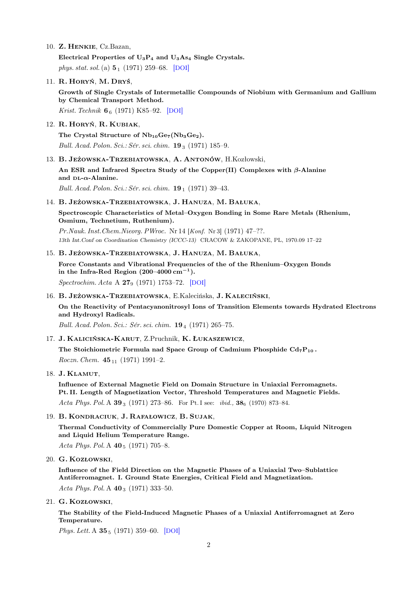10. Z. Henkie, Cz.Bazan,

Electrical Properties of  $U_3P_4$  and  $U_3As_4$  Single Crystals. phys. stat. sol. (a)  $5_1$  (1971) 259–68. [[DOI](http://dx.doi.org/10.1002/pssa.2210050128)]

11. R. Horyń, M. Dryś,

Growth of Single Crystals of Intermetallic Compounds of Niobium with Germanium and Gallium by Chemical Transport Method.

Krist. Technik 6<sub>6</sub> (1971) K85-92. [[DOI](http://dx.doi.org/10.1002/crat.19710060611)]

12. R. Horyń, R. Kubiak,

The Crystal Structure of  $Nb_{10}Ge_7(Nb_3Ge_2)$ . Bull. Acad. Polon. Sci.: Sér. sci. chim.  $19_3$  (1971) 185–9.

13. B. Jeżowska-Trzebiatowska, A. Antonów, H.Kozłowski,

An ESR and Infrared Spectra Study of the Copper(II) Complexes with  $\beta$ -Alanine and  $DL-\alpha$ -Alanine.

Bull. Acad. Polon. Sci.: Sér. sci. chim.  $19_1$  (1971) 39–43.

#### 14. B. Jeżowska-Trzebiatowska, J. Hanuza, M. Bałuka,

Spectroscopic Characteristics of Metal–Oxygen Bonding in Some Rare Metals (Rhenium, Osmium, Technetium, Ruthenium).

Pr.Nauk. Inst.Chem.Nieorg. PWroc. Nr 14 [Konf. Nr 3] (1971) 47–??. 13th Int.Conf on Coordination Chemistry (ICCC-13) CRACOW & ZAKOPANE, PL, 1970.09 17–22

#### 15. B. Jeżowska-Trzebiatowska, J. Hanuza, M. Bałuka,

Force Constants and Vibrational Frequencies of the of the Rhenium–Oxygen Bonds in the Infra-Red Region  $(200-4000 \text{ cm}^{-1})$ .

Spectrochim. Acta A 27<sup>9</sup> (1971) 1753–72. [[DOI](http://dx.doi.org/10.1016/0584-8539(71)80229-5)]

16. B. Jeżowska-Trzebiatowska, E.Kalecińska, J. Kaleciński,

On the Reactivity of Pentacyanonitrosyl Ions of Transition Elements towards Hydrated Electrons and Hydroxyl Radicals.

Bull. Acad. Polon. Sci.: Sér. sci. chim. **19**<sub>4</sub> (1971) 265-75.

17. J. Kalicińska-Karut, Z.Pruchnik, K. Łukaszewicz,

The Stoichiometric Formula nad Space Group of Cadmium Phosphide  $Cd_7P_{10}$ . Roczn. Chem.  $45_{11}$  (1971) 1991-2.

18. J. Klamut,

Influence of External Magnetic Field on Domain Structure in Uniaxial Ferromagnets. Pt. II. Length of Magnetization Vector, Threshold Temperatures and Magnetic Fields. Acta Phys. Pol. A  $39_3$  (1971) 273–86. For Pt. I see: *ibid.*,  $38_6$  (1970) 873–84.

19. B. Kondraciuk, J. Rafałowicz, B. Sujak,

Thermal Conductivity of Commercially Pure Domestic Copper at Room, Liquid Nitrogen and Liquid Helium Temperature Range.

Acta Phys. Pol. A  $40_5$  (1971) 705–8.

20. G. Kozłowski,

Influence of the Field Direction on the Magnetic Phases of a Uniaxial Two–Sublattice Antiferromagnet. I. Ground State Energies, Critical Field and Magnetization. Acta Phys. Pol. A  $40_3$  (1971) 333-50.

21. G. Kozłowski,

The Stability of the Field-Induced Magnetic Phases of a Uniaxial Antiferromagnet at Zero Temperature.

Phys. Lett. A  $35_5$  (1971) 359–60. [[DOI](http://dx.doi.org/10.1016/0375-9601(71)90736-5)]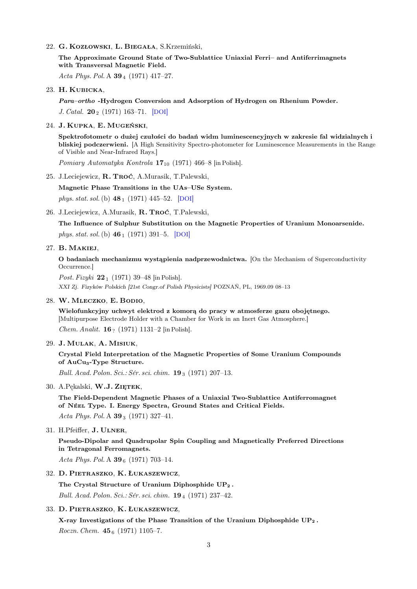22. G. Kozłowski, L. Biegała, S.Krzemiński,

The Approximate Ground State of Two-Sublattice Uniaxial Ferri– and Antiferrimagnets with Transversal Magnetic Field.

Acta Phys. Pol. A  $39_4$  (1971) 417-27.

23. H. Kubicka,

Para–ortho -Hydrogen Conversion and Adsorption of Hydrogen on Rhenium Powder. J. Catal.  $20_2$  (1971) 163-71. [[DOI](http://dx.doi.org/10.1016/0021-9517(71)90077-7)]

#### 24. J. Kupka, E. Mugeński,

Spektrofotometr o dużej czułości do badań widm luminescencyjnych w zakresie fal widzialnych i bliskiej podczerwieni. [A High Sensitivity Spectro-photometer for Luminescence Measurements in the Range of Visible and Near-Infrared Rays.]

Pomiary Automatyka Kontrola  $17_{10}$  (1971) 466–8 [in Polish].

25. J.Leciejewicz, R. Troć, A.Murasik, T.Palewski,

Magnetic Phase Transitions in the UAs–USe System.

phys. stat. sol. (b)  $48_1$  (1971) 445–52. [[DOI](http://dx.doi.org/10.1002/pssb.2220480144)]

26. J.Leciejewicz, A.Murasik, R. Troć, T.Palewski,

The Influence of Sulphur Substitution on the Magnetic Properties of Uranium Monoarsenide. phys. stat. sol. (b)  $46_1$  (1971) 391–5. [[DOI](http://dx.doi.org/10.1002/pssb.2220460138)]

#### 27. B. Makiej,

O badaniach mechanizmu wystąpienia nadprzewodnictwa. [On the Mechanism of Superconductivity Occurrence.]

*Post. Fizyki*  $22_1$  (1971) 39–48 [in Polish]. XXI Zj. Fizyków Polskich [21st Congr.of Polish Physicists] POZNAŃ, PL, 1969.09 08–13

#### 28. W. Mleczko, E. Bodio,

Wielofunkcyjny uchwyt elektrod z komorą do pracy w atmosferze gazu obojętnego. [Multipurpose Electrode Holder with a Chamber for Work in an Inert Gas Atmosphere.] Chem. Analit. 16? (1971) 1131–2 [in Polish].

29. J. Mulak, A. Misiuk,

### Crystal Field Interpretation of the Magnetic Properties of Some Uranium Compounds of AuCu<sub>3</sub>-Type Structure.

Bull. Acad. Polon. Sci.: Sér. sci. chim.  $19_3$  (1971) 207–13.

30. A.Pękalski, W.J. ZIĘTEK,

The Field-Dependent Magnetic Phases of a Uniaxial Two-Sublattice Antiferromagnet of Néel Type. I. Energy Spectra, Ground States and Critical Fields.

Acta Phys. Pol. A  $39_3$  (1971) 327-41.

31. H.Pfeiffer, J. Ulner,

Pseudo-Dipolar and Quadrupolar Spin Coupling and Magnetically Preferred Directions in Tetragonal Ferromagnets.

Acta Phys. Pol. A  $39_6$  (1971) 703-14.

32. D. Pietraszko, K. Łukaszewicz,

The Crystal Structure of Uranium Diphosphide UP<sup>2</sup> . Bull. Acad. Polon. Sci.: Sér. sci. chim. 19<sup>4</sup> (1971) 237–42.

### 33. D. Pietraszko, K. Łukaszewicz,

X-ray Investigations of the Phase Transition of the Uranium Diphosphide UP<sup>2</sup> . Roczn. Chem.  $45<sub>6</sub>$  (1971) 1105–7.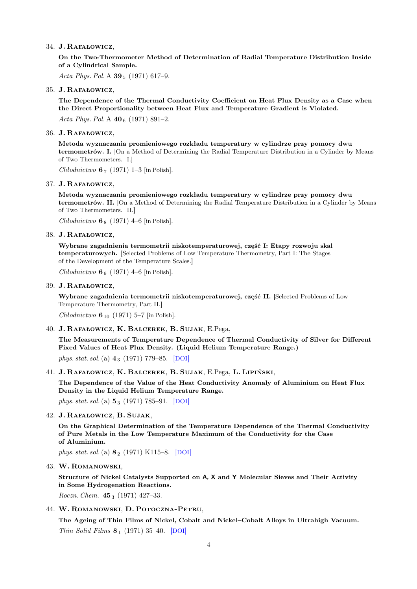#### 34. J. Rafałowicz,

On the Two-Thermometer Method of Determination of Radial Temperature Distribution Inside of a Cylindrical Sample.

Acta Phys. Pol. A  $39_5$  (1971) 617-9.

#### 35. J. Rafałowicz,

The Dependence of the Thermal Conductivity Coefficient on Heat Flux Density as a Case when the Direct Proportionality between Heat Flux and Temperature Gradient is Violated. Acta Phys. Pol. A  $40<sub>6</sub>$  (1971) 891–2.

#### 36. J. Rafałowicz,

Metoda wyznaczania promieniowego rozkładu temperatury w cylindrze przy pomocy dwu termometrów. I. [On a Method of Determining the Radial Temperature Distribution in a Cylinder by Means of Two Thermometers. I.]

Chłodnictwo  $67$  (1971) 1–3 [in Polish].

#### 37. J. Rafałowicz,

Metoda wyznaczania promieniowego rozkładu temperatury w cylindrze przy pomocy dwu termometrów. II. [On a Method of Determining the Radial Temperature Distribution in a Cylinder by Means of Two Thermometers. II.]

Chłodnictwo  $6_8$  (1971) 4–6 [in Polish].

#### 38. J. Rafałowicz,

Wybrane zagadnienia termometrii niskotemperaturowej, część I: Etapy rozwoju skal temperaturowych. [Selected Problems of Low Temperature Thermometry, Part I: The Stages of the Development of the Temperature Scales.]

Chłodnictwo  $6_9$  (1971) 4–6 [in Polish].

#### 39. J. Rafałowicz,

Wybrane zagadnienia termometrii niskotemperaturowej, część II. [Selected Problems of Low Temperature Thermometry, Part II.]

Chłodnictwo  $6_{10}$  (1971) 5–7 [in Polish].

40. J. Rafałowicz, K. Balcerek, B. Sujak, E.Pega,

The Measurements of Temperature Dependence of Thermal Conductivity of Silver for Different Fixed Values of Heat Flux Density. (Liquid Helium Temperature Range.) phys. stat. sol. (a)  $4_3$  (1971) 779–85. [[DOI](http://dx.doi.org/10.1002/pssa.2210040323)]

41. J. Rafałowicz, K. Balcerek, B. Sujak, E.Pega, L. Lipiński,

The Dependence of the Value of the Heat Conductivity Anomaly of Aluminium on Heat Flux Density in the Liquid Helium Temperature Range.

phys. stat. sol. (a)  $\mathbf{5}_3$  (1971) 785–91. [[DOI](http://dx.doi.org/10.1002/pssa.2210050335)]

#### 42. J. Rafałowicz, B. Sujak,

On the Graphical Determination of the Temperature Dependence of the Thermal Conductivity of Pure Metals in the Low Temperature Maximum of the Conductivity for the Case of Aluminium.

phys. stat. sol.(a) 8<sup>2</sup> (1971) K115–8. [[DOI](http://dx.doi.org/10.1002/pssa.2210080245)]

43. W. Romanowski,

Structure of Nickel Catalysts Supported on A, X and Y Molecular Sieves and Their Activity in Some Hydrogenation Reactions.

Roczn. Chem.  $45_3$  (1971) 427-33.

44. W. Romanowski, D. Potoczna-Petru,

The Ageing of Thin Films of Nickel, Cobalt and Nickel–Cobalt Alloys in Ultrahigh Vacuum. Thin Solid Films  $\mathbf{8}_1$  (1971) 35–40. [[DOI](http://dx.doi.org/10.1016/0040-6090(72)90094-0)]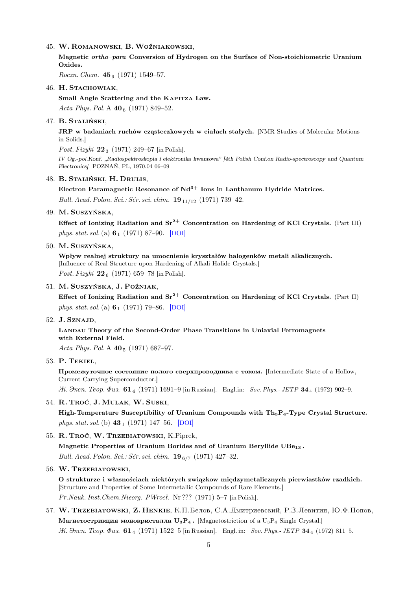#### 45. W. Romanowski, B. Woźniakowski,

Magnetic ortho–para Conversion of Hydrogen on the Surface of Non-stoichiometric Uranium Oxides.

Roczn. Chem.  $45_9$  (1971) 1549–57.

#### 46. H. STACHOWIAK,

Small Angle Scattering and the KAPITZA Law.

Acta Phys. Pol. A  $40<sub>6</sub>$  (1971) 849-52.

### 47. B. Staliński,

JRP w badaniach ruchów cząsteczkowych w ciałach stałych. [NMR Studies of Molecular Motions in Solids.]

Post. Fizyki  $22_3$  (1971) 249–67 [in Polish].

IV Og.-pol.Konf. "Radiospektroskopia i elektronika kwantowa" [4th Polish Conf.on Radio-spectroscopy and Quantum Electronics] POZNAŃ, PL, 1970.04 06–09

### 48. B. Staliński, H. Drulis,

#### Electron Paramagnetic Resonance of  $Nd^{3+}$  Ions in Lanthanum Hydride Matrices.

Bull. Acad. Polon. Sci.: Sér. sci. chim.  $19_{11/12}$  (1971) 739–42.

#### 49. M. Suszyńska,

Effect of Ionizing Radiation and  $Sr^{2+}$  Concentration on Hardening of KCl Crystals. (Part III) phys. stat. sol. (a)  $6_1$  (1971) 87–90. [[DOI](http://dx.doi.org/10.1002/pssa.2210060110)]

#### 50. M. Suszyńska,

Wpływ realnej struktury na umocnienie kryształów halogenków metali alkalicznych. [Influence of Real Structure upon Hardening of Alkali Halide Crystals.] Post. Fizyki  $22_6$  (1971) 659–78 [in Polish].

### 51. M. Suszyńska, J. Poźniak,

Effect of Ionizing Radiation and  $Sr^{2+}$  Concentration on Hardening of KCl Crystals. (Part II) phys. stat. sol. (a)  $6_1$  (1971) 79–86. [[DOI](http://dx.doi.org/10.1002/pssa.2210060109)]

#### 52. J. Sznajd,

Landau Theory of the Second-Order Phase Transitions in Uniaxial Ferromagnets with External Field.

Acta Phys. Pol. A  $40_5$  (1971) 687-97.

### 53. P. Tekiel,

Промежуточное состояние полого сверхпроводника с током. [Intermediate State of a Hollow, Current-Carrying Superconductor.]

*K. Эксп. Теор. Физ.* 61<sub>4</sub> (1971) 1691–9 [in Russian]. Engl.in: Sov. Phys.- JETP 34<sub>4</sub> (1972) 902–9.

#### 54. R. Troć, J. Mulak, W. Suski,

High-Temperature Susceptibility of Uranium Compounds with  $Th_3P_4$ -Type Crystal Structure. phys. stat. sol. (b)  $43_1$  (1971) 147–56. [[DOI](http://dx.doi.org/10.1002/pssb.2220430116)]

#### 55. R. Troć, W. Trzebiatowski, K.Piprek,

Magnetic Properties of Uranium Borides and of Uranium Beryllide UBe<sup>13</sup> . Bull. Acad. Polon. Sci.: Sér. sci. chim.  $19_{6/7}$  (1971) 427-32.

#### 56. W. Trzebiatowski,

O strukturze i własnościach niektórych związkow międzymetalicznych pierwiastków rzadkich. [Structure and Properties of Some Intermetallic Compounds of Rare Elements.] Pr.Nauk. Inst.Chem.Nieorg. PWrocł. Nr ??? (1971) 5–7 [in Polish].

## 57. W. Trzebiatowski, Z. Henkie, К.П.Белов, С.А. Дмитриевский, Р.З.Левитин, Ю.Ф.Попов, Магнетострикция монокристалла  $U_3P_4$ . [Magnetostriction of a  $U_3P_4$  Single Crystal.]  $K. 3$   $\kappa$   $n. 7e$   $q$ .  $q$   $q$   $q$   $(1971)$   $1522-5$  [in Russian]. Engl. in: Sov. Phys. - JETP 34  $_4$  (1972) 811–5.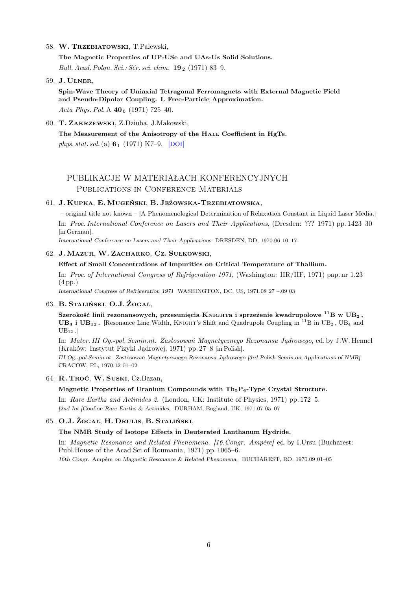#### 58. W. Trzebiatowski, T.Palewski,

The Magnetic Properties of UP-USe and UAs-Us Solid Solutions.

Bull. Acad. Polon. Sci.: Sér. sci. chim.  $19_2$  (1971) 83-9.

#### 59. J. Ulner,

Spin-Wave Theory of Uniaxial Tetragonal Ferromagnets with External Magnetic Field and Pseudo-Dipolar Coupling. I. Free-Particle Approximation. Acta Phys. Pol. A  $40<sub>6</sub>$  (1971) 725–40.

60. T. Zakrzewski, Z.Dziuba, J.Makowski,

The Measurement of the Anisotropy of the HALL Coefficient in HgTe. phys. stat. sol. (a)  $6_1$  (1971) K7–9. [[DOI](http://dx.doi.org/10.1002/pssa.2210060141)]

## PUBLIKACJE W MATERIAŁACH KONFERENCYJNYCH PUBLICATIONS IN CONFERENCE MATERIALS

### 61. J. Kupka, E. Mugeński, B. Jeżowska-Trzebiatowska,

– original title not known – [A Phenomenological Determination of Relaxation Constant in Liquid Laser Media.] In: Proc. International Conference on Lasers and Their Applications, (Dresden: ??? 1971) pp. 1423–30 [in German].

International Conference on Lasers and Their Applications DRESDEN, DD, 1970.06 10–17

#### 62. J. Mazur, W. Zacharko, Cz. Sułkowski,

#### Effect of Small Concentrations of Impurities on Critical Temperature of Thallium.

In: Proc. of International Congress of Refrigeration 1971, (Washington: IIR/IIF, 1971) pap. nr 1.23 (4 pp.)

International Congress of Refrigeration 1971 WASHINGTON, DC, US, 1971.08 27 –.09 03

### 63. B. Staliński, O.J. Żogał,

Szerokość linii rezonansowych, przesunięcia KNIGHTa i sprzeżenie kwadrupolowe  $^{11}$ B w UB<sub>2</sub>, UB<sub>4</sub> i UB<sub>12</sub>. [Resonance Line Width, KNIGHT's Shift and Quadrupole Coupling in <sup>11</sup>B in UB<sub>2</sub>, UB<sub>4</sub> and  $UB_{12}$ .

In: Mater. III Og.-pol. Semin.nt. Zastosowań Magnetycznego Rezonansu Jądrowego, ed. by J.W. Hennel (Kraków: Instytut Fizyki Jądrowej, 1971) pp. 27–8 [in Polish].

III Og.-pol.Semin.nt. Zastosowań Magnetycznego Rezonansu Jądrowego [3rd Polish Semin.on Applications of NMR] CRACOW, PL, 1970.12 01–02

### 64. R. Troć, W. Suski, Cz.Bazan,

#### Magnetic Properties of Uranium Compounds with Th<sub>3</sub>P<sub>4</sub>-Type Crystal Structure.

In: Rare Earths and Actinides 2. (London, UK: Institute of Physics, 1971) pp. 172–5. [2nd Int.]Conf.on Rare Earths & Actinides, DURHAM, England, UK, 1971.07 05–07

### 65. O.J. Żogał, H. Drulis, B. Staliński,

#### The NMR Study of Isotope Effects in Deuterated Lanthanum Hydride.

In: Magnetic Resonance and Related Phenomena. [16.Congr. Ampére] ed. by I.Ursu (Bucharest: Publ.House of the Acad.Sci.of Roumania, 1971) pp. 1065–6. 16th Congr. Ampére on Magnetic Resonance & Related Phenomena, BUCHAREST, RO, 1970.09 01–05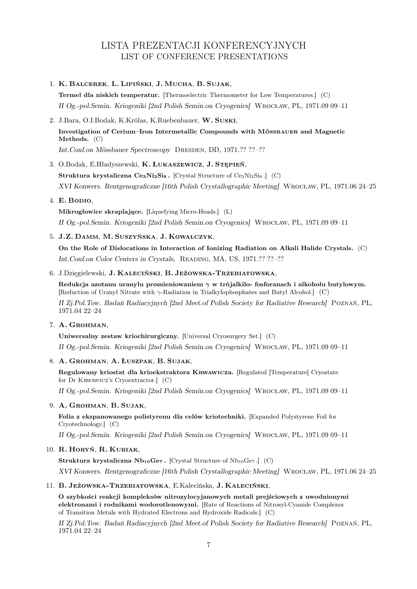# LISTA PREZENTACJI KONFERENCYJNYCH LIST OF CONFERENCE PRESENTATIONS

### 1. K. Balcerek, L. Lipiński, J. Mucha, B. Sujak,

Termel dla niskich temperatur. [Thermoelectric Thermometer for Low Temperatures.] (C) II Og.-pol.Semin. Kriogeniki [2nd Polish Semin.on Cryogenics] Wrocław, PL, 1971.09 09–11

2. J.Bara, O.I.Bodak, K.Królas, K.Ruebenbauer, W. Suski, Investigation of Cerium–Iron Intermetallic Compounds with MÖSSBAUER and Magnetic Methods. (C)

Int.Conf.on Mössbauer Spectroscopy Dresden, DD, 1971.?? ??–??

### 3. O.Bodak, E.Hładyszewski, K. Łukaszewicz, J. Stępień,

Struktura krystaliczna  $\text{Ce}_3\text{Ni}_2\text{Si}_8$ . [Crystal Structure of  $\text{Ce}_3\text{Ni}_2\text{Si}_8$ .] (C) XVI Konwers. Rentgenograficzne [16th Polish Crystallographic Meeting] Wrocław, PL, 1971.06 24–25

### 4. E. Bodio,

Mikrogłowice skraplające. [Liquefying Micro-Heads.] (L) II Og.-pol.Semin. Kriogeniki [2nd Polish Semin.on Cryogenics] Wrocław, PL, 1971.09 09–11

### 5. J.Z. Damm, M. Suszyńska, J. Kowalczyk,

On the Role of Dislocations in Interaction of Ionizing Radiation on Alkali Halide Crystals. (C) Int.Conf.on Color Centers in Crystals, Reading, MA, US, 1971.?? ??–??

### 6. J.Dzięgielewski, J. Kaleciński, B. Jeżowska-Trzebiatowska,

Redukcja azotanu uranylu promieniowaniem  $\gamma$  w trójalkilo-fosforanach i alkoholu butylowym. [Reduction of Uranyl Nitrate with  $\gamma$ -Radiation in Trialkylophosphates and Butyl Alcohol.] (C) II Zj.Pol.Tow. Badań Radiacyjnych [2nd Meet.of Polish Society for Radiative Research] Poznań, PL, 1971.04 22–24

### 7. A. Grohman,

Uniwersalny zestaw kriochirurgiczny. [Universal Cryosurgery Set.] (C)

II Og.-pol.Semin. Kriogeniki [2nd Polish Semin.on Cryogenics] Wrocław, PL, 1971.09 09–11

### 8. A. Grohman, A. Łuszpak, B. Sujak,

Regulowany kriostat dla krioekstraktora Krwawicza. [Regulated [Temperature] Cryostate for Dr Krwawicz's Cryoextractor.] (C)

II Og.-pol.Semin. Kriogeniki [2nd Polish Semin.on Cryogenics] Wrocław, PL, 1971.09 09–11

### 9. A. GROHMAN, B. SUJAK,

Folia z ekspanowanego polistyrenu dla celów kriotechniki. [Expanded Polystyrene Foil for Cryotechnology.] (C)

II Og.-pol.Semin. Kriogeniki [2nd Polish Semin.on Cryogenics] Wrocław, PL, 1971.09 09–11

#### 10. R. Horyń, R. Kubiak,

Struktura krystaliczna  $Nb_{10}Ge_7$ . [Crystal Structure of  $Nb_{10}Ge_7$ .] (C)

XVI Konwers. Rentgenograficzne [16th Polish Crystallographic Meeting] Wrocław, PL, 1971.06 24–25

### 11. B. Jeżowska-Trzebiatowska, E.Kalecińska, J. Kaleciński,

O szybkości reakcji kompleksów nitrozylocyjanowych metali prejściowych z uwodnionymi elektronami i rodnikami wodorotlenowymi. [Rate of Reactions of Nitrosyl-Cyanide Complexes of Transition Metals with Hydrated Electrons and Hydroxide Radicals.] (C)

II Zj.Pol.Tow. Badań Radiacyjnych [2nd Meet.of Polish Society for Radiative Research] Poznań, PL, 1971.04 22–24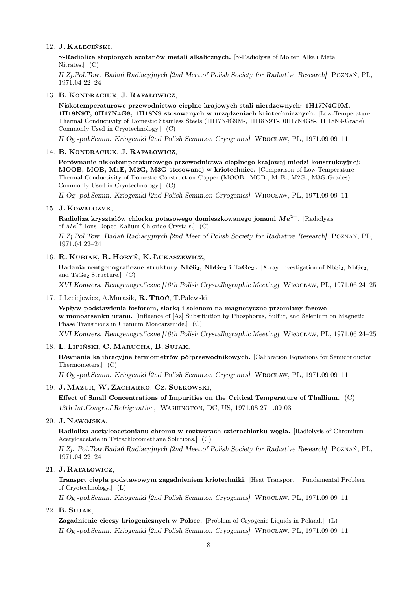### 12. J. Kaleciński,

 $\gamma$ -Radioliza stopionych azotanów metali alkalicznych. [γ-Radiolysis of Molten Alkali Metal Nitrates.] (C)

II Zj.Pol.Tow. Badań Radiacyjnych [2nd Meet.of Polish Society for Radiative Research] Poznań, PL, 1971.04 22–24

#### 13. B. Kondraciuk, J. Rafałowicz,

Niskotemperaturowe przewodnictwo cieplne krajowych stali nierdzewnych: 1H17N4G9M, 1H18N9T, 0H17N4G8, 1H18N9 stosowanych w urządzeniach kriotechnicznych. [Low-Temperature Thermal Conductivity of Domestic Stainless Steels (1H17N4G9M-, 1H18N9T-, 0H17N4G8-, 1H18N9-Grade) Commonly Used in Cryotechnology.] (C)

II Og.-pol.Semin. Kriogeniki [2nd Polish Semin.on Cryogenics] Wrocław, PL, 1971.09 09–11

#### 14. B. Kondraciuk, J. Rafałowicz,

Porównanie niskotemperaturowego przewodnictwa cieplnego krajowej miedzi konstrukcyjnej: MOOB, MOB, M1E, M2G, M3G stosowanej w kriotechnice. [Comparison of Low-Temperature Thermal Conductivity of Domestic Construction Copper (MOOB-, MOB-, M1E-, M2G-, M3G-Grades) Commonly Used in Cryotechnology.] (C)

II Og.-pol.Semin. Kriogeniki [2nd Polish Semin.on Cryogenics] Wrocław, PL, 1971.09 09–11

### 15. J. Kowalczyk,

Radioliza kryształów chlorku potasowego domieszkowanego jonami  $Me^{2+}$ . [Radiolysis of  $Me^{2+}$ -Ions-Doped Kalium Chloride Crystals.] (C)

II Zj.Pol.Tow. Badań Radiacyjnych [2nd Meet.of Polish Society for Radiative Research] Poznań, PL, 1971.04 22–24

#### 16. R. Kubiak, R. Horyń, K. Łukaszewicz,

Badania rentgenograficzne struktury NbSi<sub>2</sub>, NbGe<sub>2</sub> i TaGe<sub>2</sub>. [X-ray Investigation of NbSi<sub>2</sub>, NbGe<sub>2</sub>, and TaGe<sub>2</sub> Structure.]  $(C)$ 

XVI Konwers. Rentgenograficzne [16th Polish Crystallographic Meeting] Wrocław, PL, 1971.06 24–25

17. J.Leciejewicz, A.Murasik, R. Troć, T.Palewski,

Wpływ podstawienia fosforem, siarką i selenem na magnetyczne przemiany fazowe w monoarsenku uranu. [Influence of [As] Substitution by Phosphorus, Sulfur, and Selenium on Magnetic Phase Transitions in Uranium Monoarsenide.] (C)

XVI Konwers. Rentgenograficzne [16th Polish Crystallographic Meeting] Wrocław, PL, 1971.06 24–25

#### 18. L. Lipiński, C. Marucha, B. Sujak,

Równania kalibracyjne termometrów półprzewodnikowych. [Calibration Equations for Semiconductor Thermometers.] (C)

II Og.-pol.Semin. Kriogeniki [2nd Polish Semin.on Cryogenics] Wrocław, PL, 1971.09 09–11

### 19. J. Mazur, W. Zacharko, Cz. Sułkowski,

Effect of Small Concentrations of Impurities on the Critical Temperature of Thallium. (C) 13th Int.Congr.of Refrigeration, Washington, DC, US, 1971.08 27 –.09 03

#### 20. J. Nawojska,

Radioliza acetyloacetonianu chromu w roztworach czterochlorku węgla. [Radiolysis of Chromium Acetyloacetate in Tetrachloromethane Solutions.] (C)

II Zj. Pol.Tow.Badań Radiacyjnych [2nd Meet.of Polish Society for Radiative Research] Poznań, PL, 1971.04 22–24

### 21. J. Rafałowicz,

Transprt ciepła podstawowym zagadnieniem kriotechniki. [Heat Transport – Fundamental Problem of Cryotechnology.] (L)

II Og.-pol.Semin. Kriogeniki [2nd Polish Semin.on Cryogenics] Wrocław, PL, 1971.09 09–11

#### 22. B. Sujak,

Zagadnienie cieczy kriogenicznych w Polsce. [Problem of Cryogenic Liquids in Poland.] (L) II Og.-pol.Semin. Kriogeniki [2nd Polish Semin.on Cryogenics] Wrocław, PL, 1971.09 09–11